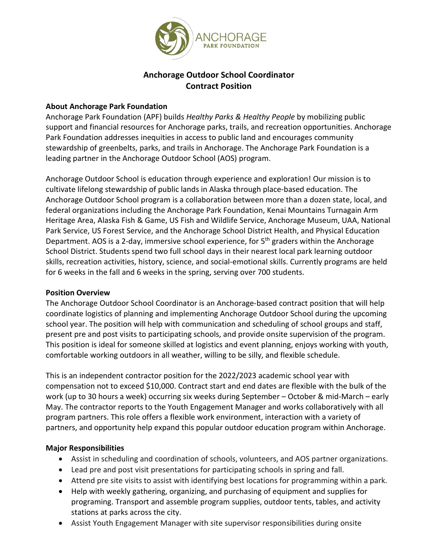

### **Anchorage Outdoor School Coordinator Contract Position**

#### **About Anchorage Park Foundation**

Anchorage Park Foundation (APF) builds *Healthy Parks & Healthy People* by mobilizing public support and financial resources for Anchorage parks, trails, and recreation opportunities. Anchorage Park Foundation addresses inequities in access to public land and encourages community stewardship of greenbelts, parks, and trails in Anchorage. The Anchorage Park Foundation is a leading partner in the Anchorage Outdoor School (AOS) program.

Anchorage Outdoor School is education through experience and exploration! Our mission is to cultivate lifelong stewardship of public lands in Alaska through place-based education. The Anchorage Outdoor School program is a collaboration between more than a dozen state, local, and federal organizations including the Anchorage Park Foundation, Kenai Mountains Turnagain Arm Heritage Area, Alaska Fish & Game, US Fish and Wildlife Service, Anchorage Museum, UAA, National Park Service, US Forest Service, and the Anchorage School District Health, and Physical Education Department. AOS is a 2-day, immersive school experience, for 5<sup>th</sup> graders within the Anchorage School District. Students spend two full school days in their nearest local park learning outdoor skills, recreation activities, history, science, and social-emotional skills. Currently programs are held for 6 weeks in the fall and 6 weeks in the spring, serving over 700 students.

#### **Position Overview**

The Anchorage Outdoor School Coordinator is an Anchorage-based contract position that will help coordinate logistics of planning and implementing Anchorage Outdoor School during the upcoming school year. The position will help with communication and scheduling of school groups and staff, present pre and post visits to participating schools, and provide onsite supervision of the program. This position is ideal for someone skilled at logistics and event planning, enjoys working with youth, comfortable working outdoors in all weather, willing to be silly, and flexible schedule.

This is an independent contractor position for the 2022/2023 academic school year with compensation not to exceed \$10,000. Contract start and end dates are flexible with the bulk of the work (up to 30 hours a week) occurring six weeks during September – October & mid-March – early May. The contractor reports to the Youth Engagement Manager and works collaboratively with all program partners. This role offers a flexible work environment, interaction with a variety of partners, and opportunity help expand this popular outdoor education program within Anchorage.

#### **Major Responsibilities**

- Assist in scheduling and coordination of schools, volunteers, and AOS partner organizations.
- Lead pre and post visit presentations for participating schools in spring and fall.
- Attend pre site visits to assist with identifying best locations for programming within a park.
- Help with weekly gathering, organizing, and purchasing of equipment and supplies for programing. Transport and assemble program supplies, outdoor tents, tables, and activity stations at parks across the city.
- Assist Youth Engagement Manager with site supervisor responsibilities during onsite